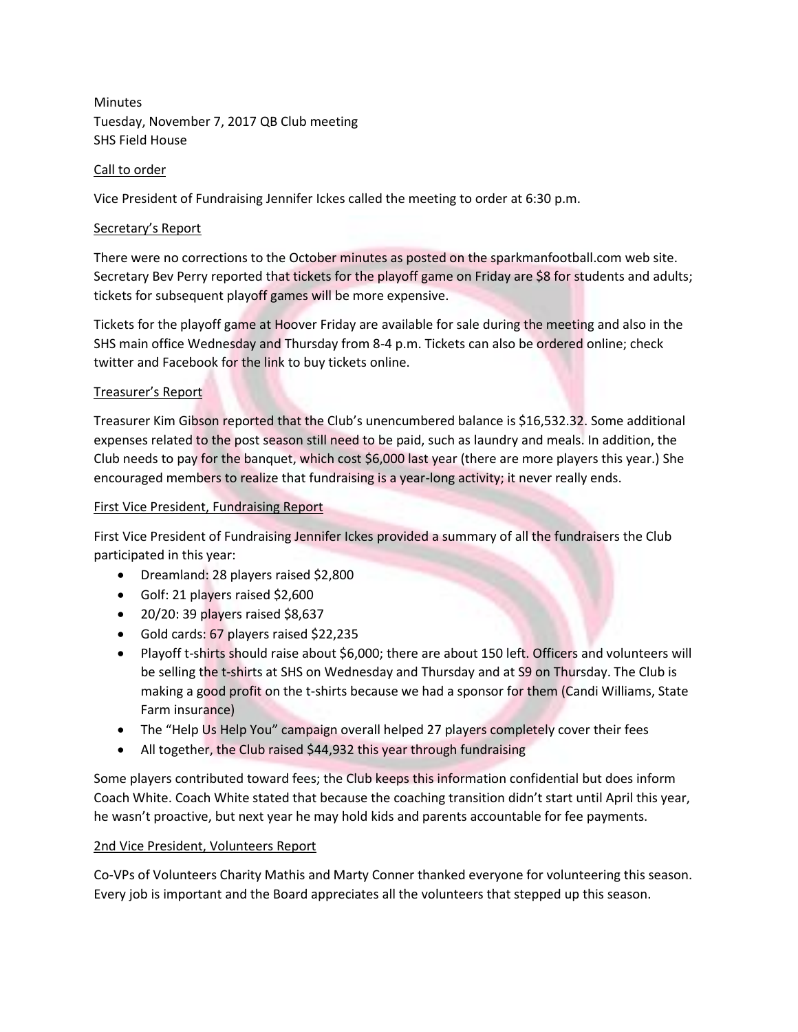Minutes Tuesday, November 7, 2017 QB Club meeting SHS Field House

# Call to order

Vice President of Fundraising Jennifer Ickes called the meeting to order at 6:30 p.m.

# Secretary's Report

There were no corrections to the October minutes as posted on the sparkmanfootball.com web site. Secretary Bev Perry reported that tickets for the playoff game on Friday are \$8 for students and adults; tickets for subsequent playoff games will be more expensive.

Tickets for the playoff game at Hoover Friday are available for sale during the meeting and also in the SHS main office Wednesday and Thursday from 8-4 p.m. Tickets can also be ordered online; check twitter and Facebook for the link to buy tickets online.

# Treasurer's Report

Treasurer Kim Gibson reported that the Club's unencumbered balance is \$16,532.32. Some additional expenses related to the post season still need to be paid, such as laundry and meals. In addition, the Club needs to pay for the banquet, which cost \$6,000 last year (there are more players this year.) She encouraged members to realize that fundraising is a year-long activity; it never really ends.

### First Vice President, Fundraising Report

First Vice President of Fundraising Jennifer Ickes provided a summary of all the fundraisers the Club participated in this year:

- Dreamland: 28 players raised \$2,800
- Golf: 21 players raised \$2,600
- $\bullet$  20/20: 39 players raised \$8,637
- Gold cards: 67 players raised \$22,235
- Playoff t-shirts should raise about \$6,000; there are about 150 left. Officers and volunteers will be selling the t-shirts at SHS on Wednesday and Thursday and at S9 on Thursday. The Club is making a good profit on the t-shirts because we had a sponsor for them (Candi Williams, State Farm insurance)
- The "Help Us Help You" campaign overall helped 27 players completely cover their fees
- All together, the Club raised \$44,932 this year through fundraising

Some players contributed toward fees; the Club keeps this information confidential but does inform Coach White. Coach White stated that because the coaching transition didn't start until April this year, he wasn't proactive, but next year he may hold kids and parents accountable for fee payments.

### 2nd Vice President, Volunteers Report

Co-VPs of Volunteers Charity Mathis and Marty Conner thanked everyone for volunteering this season. Every job is important and the Board appreciates all the volunteers that stepped up this season.